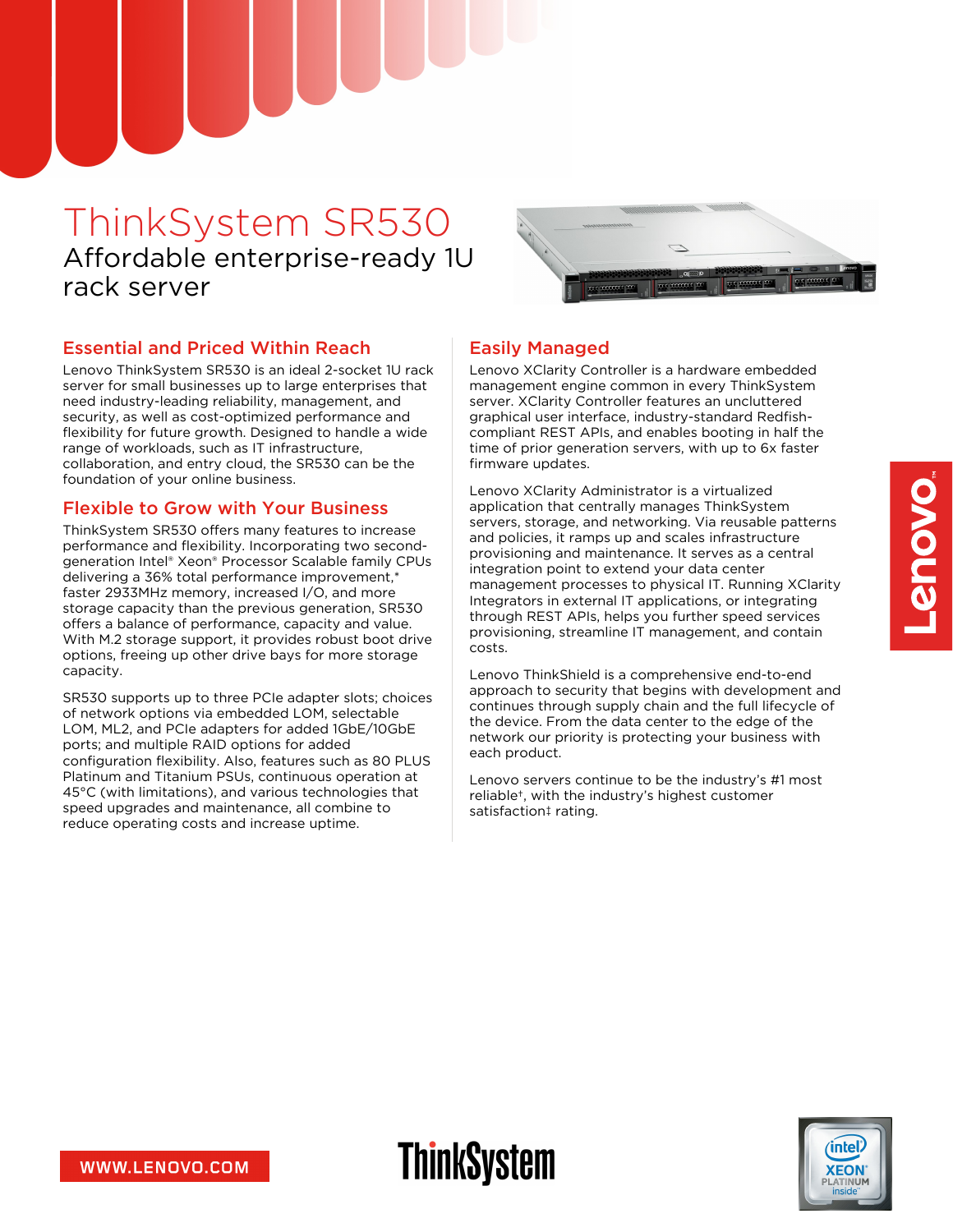# ThinkSystem SR530 Affordable enterprise-ready 1U rack server



#### Essential and Priced Within Reach

Lenovo ThinkSystem SR530 is an ideal 2-socket 1U rack server for small businesses up to large enterprises that need industry-leading reliability, management, and security, as well as cost-optimized performance and flexibility for future growth. Designed to handle a wide range of workloads, such as IT infrastructure, collaboration, and entry cloud, the SR530 can be the foundation of your online business.

#### Flexible to Grow with Your Business

ThinkSystem SR530 offers many features to increase performance and flexibility. Incorporating two secondgeneration Intel® Xeon® Processor Scalable family CPUs delivering a 36% total performance improvement,\* faster 2933MHz memory, increased I/O, and more storage capacity than the previous generation, SR530 offers a balance of performance, capacity and value. With M.2 storage support, it provides robust boot drive options, freeing up other drive bays for more storage capacity.

SR530 supports up to three PCIe adapter slots; choices of network options via embedded LOM, selectable LOM, ML2, and PCIe adapters for added 1GbE/10GbE ports; and multiple RAID options for added configuration flexibility. Also, features such as 80 PLUS Platinum and Titanium PSUs, continuous operation at 45°C (with limitations), and various technologies that speed upgrades and maintenance, all combine to reduce operating costs and increase uptime.

#### Easily Managed

**ThinkSystem** 

Lenovo XClarity Controller is a hardware embedded management engine common in every ThinkSystem server. XClarity Controller features an uncluttered graphical user interface, industry-standard Redfishcompliant REST APIs, and enables booting in half the time of prior generation servers, with up to 6x faster firmware updates.

Lenovo XClarity Administrator is a virtualized application that centrally manages ThinkSystem servers, storage, and networking. Via reusable patterns and policies, it ramps up and scales infrastructure provisioning and maintenance. It serves as a central integration point to extend your data center management processes to physical IT. Running XClarity Integrators in external IT applications, or integrating through REST APIs, helps you further speed services provisioning, streamline IT management, and contain costs.

Lenovo ThinkShield is a comprehensive end-to-end approach to security that begins with development and continues through supply chain and the full lifecycle of the device. From the data center to the edge of the network our priority is protecting your business with each product.

Lenovo servers continue to be the industry's #1 most reliable†, with the industry's highest customer satisfaction‡ rating.